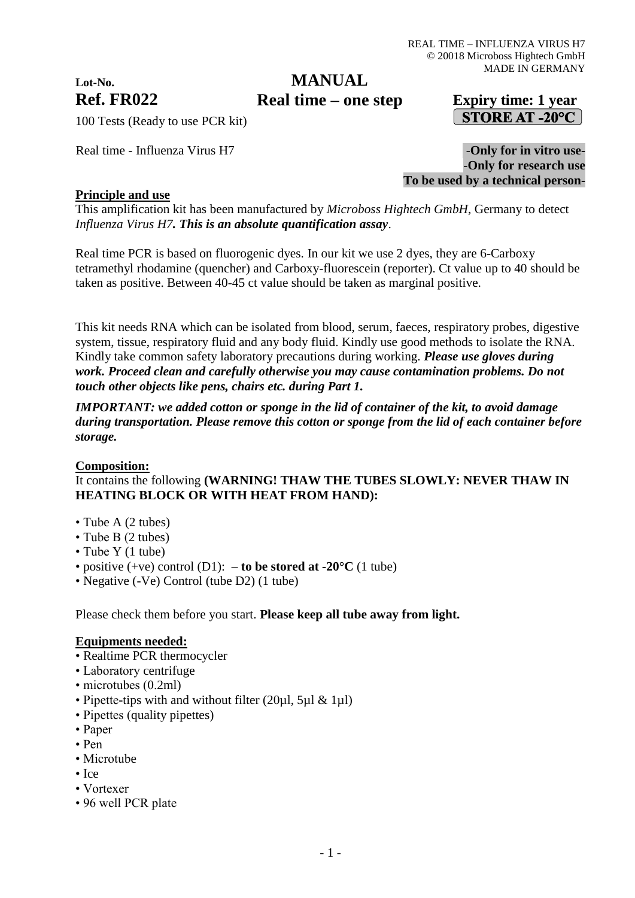# **Lot-No.**

# **MANUAL**

# **Ref. FR022 Expiry time: 1 year Real time – one step**STORE AT -20 $^{\circ}$ C

100 Tests (Ready to use PCR kit)

Real time - Influenza Virus H7  $-$ **Only for in vitro use-**-**Only for research use To be used by a technical person-**

## **Principle and use**

This amplification kit has been manufactured by *Microboss Hightech GmbH*, Germany to detect *Influenza Virus H7. This is an absolute quantification assay*.

Real time PCR is based on fluorogenic dyes. In our kit we use 2 dyes, they are 6-Carboxy tetramethyl rhodamine (quencher) and Carboxy-fluorescein (reporter). Ct value up to 40 should be taken as positive. Between 40-45 ct value should be taken as marginal positive.

This kit needs RNA which can be isolated from blood, serum, faeces, respiratory probes, digestive system, tissue, respiratory fluid and any body fluid. Kindly use good methods to isolate the RNA. Kindly take common safety laboratory precautions during working. *Please use gloves during work. Proceed clean and carefully otherwise you may cause contamination problems. Do not touch other objects like pens, chairs etc. during Part 1.*

*IMPORTANT: we added cotton or sponge in the lid of container of the kit, to avoid damage during transportation. Please remove this cotton or sponge from the lid of each container before storage.*

## **Composition:**

## It contains the following **(WARNING! THAW THE TUBES SLOWLY: NEVER THAW IN HEATING BLOCK OR WITH HEAT FROM HAND):**

- Tube A (2 tubes)
- Tube B (2 tubes)
- Tube Y (1 tube)
- positive  $(+ve)$  control  $(D1)$ :  **to be stored at -20°C**  $(1$  tube)
- Negative (-Ve) Control (tube D2) (1 tube)

Please check them before you start. **Please keep all tube away from light.**

#### **Equipments needed:**

- Realtime PCR thermocycler
- Laboratory centrifuge
- microtubes (0.2ml)
- Pipette-tips with and without filter (20ul, 5ul & 1ul)
- Pipettes (quality pipettes)
- Paper
- Pen
- Microtube
- Ice
- Vortexer
- 96 well PCR plate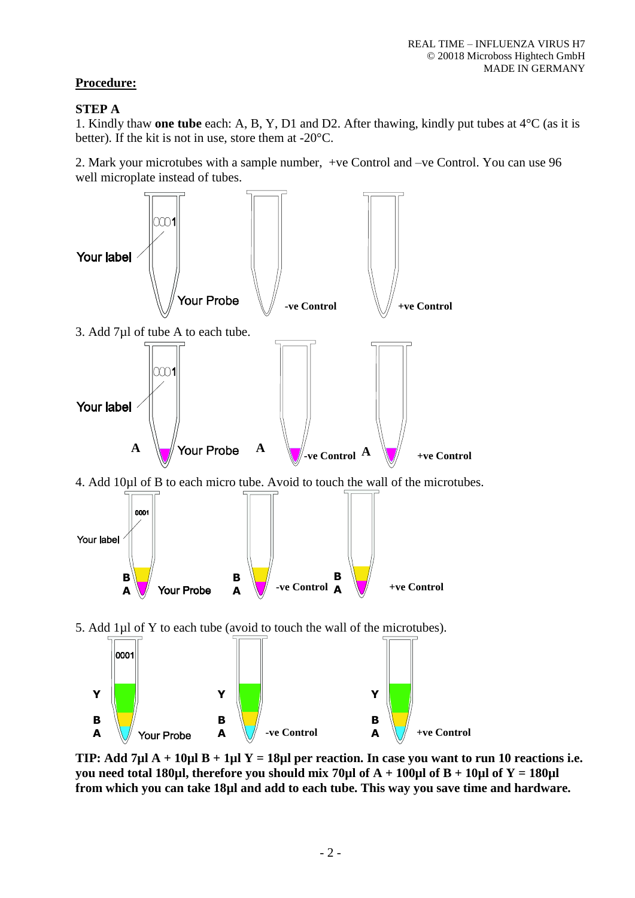# **Procedure:**

## **STEP A**

1. Kindly thaw **one tube** each: A, B, Y, D1 and D2. After thawing, kindly put tubes at 4°C (as it is better). If the kit is not in use, store them at -20°C.

2. Mark your microtubes with a sample number, +ve Control and –ve Control. You can use 96 well microplate instead of tubes.



**TIP: Add 7µl A + 10µl B + 1µl Y = 18µl per reaction. In case you want to run 10 reactions i.e. you need total 180µl, therefore you should mix 70µl of A + 100µl of B + 10µl of Y = 180µl from which you can take 18µl and add to each tube. This way you save time and hardware.**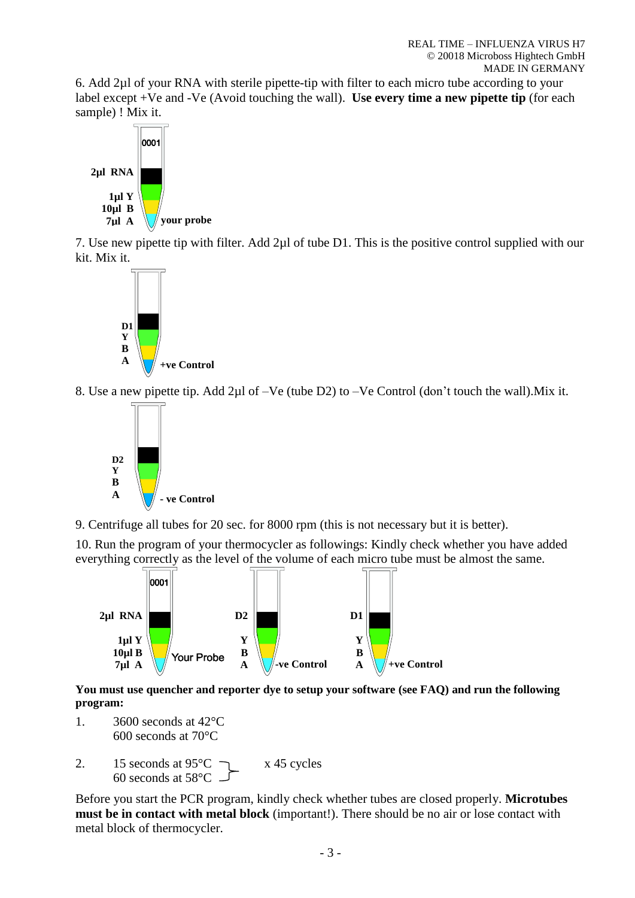6. Add 2µl of your RNA with sterile pipette-tip with filter to each micro tube according to your label except +Ve and -Ve (Avoid touching the wall). **Use every time a new pipette tip** (for each sample) ! Mix it.



7. Use new pipette tip with filter. Add 2µl of tube D1. This is the positive control supplied with our kit. Mix it.



8. Use a new pipette tip. Add 2µl of –Ve (tube D2) to –Ve Control (don't touch the wall).Mix it.



9. Centrifuge all tubes for 20 sec. for 8000 rpm (this is not necessary but it is better).

10. Run the program of your thermocycler as followings: Kindly check whether you have added everything correctly as the level of the volume of each micro tube must be almost the same.



**You must use quencher and reporter dye to setup your software (see FAQ) and run the following program:**

- 1. 3600 seconds at 42°C 600 seconds at 70°C
- 2. 15 seconds at  $95^{\circ}$ C  $\qquad \qquad$  x 45 cycles 60 seconds at 58°C

Before you start the PCR program, kindly check whether tubes are closed properly. **Microtubes must be in contact with metal block** (important!). There should be no air or lose contact with metal block of thermocycler.